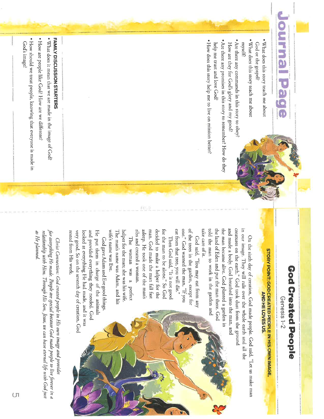

# **God Created People**

Genesis 1-2

### STORY POINT: GOD CREATED PEOPLE IN HIS OWN IMAGE AND HE LOVES US.

creatures on the earth." God took dust from the ground told the man to work in the garden and the land of Eden and put the man there. God the man became alive. God planted a garden in and made a body. God breathed into the man, and in our image. They will rule over the whole earth and all the On the sixth day of creation, God made people. God said, "Let us make man

one." God warned the man, "If you of the trees in the garden, except tor eat from that tree, you will die." God said, "You may eat from any

asleep. He took one of the man's man. God made the man fall fast decided to make a helper for the for the man to be alone." So God ribs and created a woman. Then God said, "It is not good

wife's name was Eve. The man's name was Adam, and his helper for the man; she was his wife The woman was a perfect

and provided everything they needed. God very good. So on the seventh day of creation, God looked at everything He had made, and it was He put them in charge of the animals God gave Adam and Eve good things.

for everything He made. People are special because God made people to live forever in a relationship with Him. Through His Son, Jesus, we can have eternal life with God just Christ Connection: God created people in His own image and provides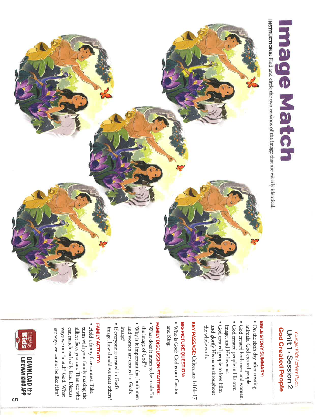

### **God Created People** Unit 1 - Session 2 Younger Kids Activity Pages

### BIBLE STORY SUMMARY:

- On the sixth day, after creating
- animals, God created people.
- · God created both men and women. . God created people in His own
- image, and He loves us.
- . God created people to love Him and glorify His name throughout the whole earth.

## KEY PASSAGE: Colossians 1:16b-17

### BIG PICTURE QUESTION:

· Who is God? God is our Creator and King.

### FAMILY DISCUSSION STARTERS:

- $\bullet$  What does it mean to be made "in the image of  $\rm God^{\rm n}$
- . Why is it important that both men and women are created in God's image?
- · If everyone is created in God's image, how should we treat others?

### FAMILY ACTIVITY:

· Hold a funny face contest. Take turns with your family making the are ways we cannot be like Him? ways we can "match" God. What can match each silly face. Discuss silliest faces you can. Then see who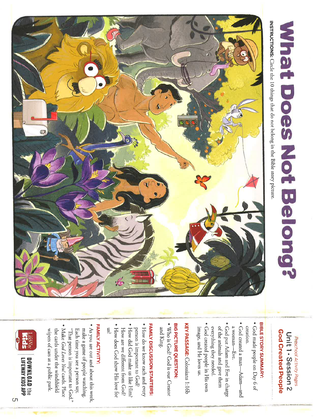# INSTRUCTIONS: Circle the 10 things that do not belong in the Bible story picture. What Does Not Belong?



### **God Created People** Unit 1 - Session 2 Preschool Activity Pages

### BIBLE STORY SUMMARY:

- God made people on Day 6 of creation.
- · God created a man-Adam-and a woman—Eve.
- . God put Adam and Eve in charge of the animals and gave them
- everything they needed.
- . God created people in His own image, and He loves us.

KEY PASSAGE: Colossians 1:16b

### **BIG PICTURE QUESTION:**

· Who is God? God is our Creator and King.

### FAMILY DISCUSSION STARTERS:

- . How do we know each and every person is important to God?
- How did God make us like Him? How are we different from God?
- . How does God show His love for  $\tilde{g}$

### FAMILY ACTIVITY:

- . As you are out and about this week, make a game of people watching. Each time you see a person say,
- · Make God Loves You! cards. Place "That person is important to God."
- wipers of cars at a public park the cards under the windshield

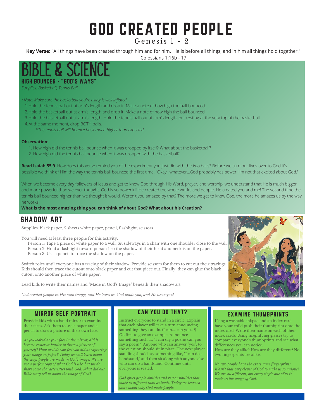### GOD CREATED PEOPLE

Genesis 1 - 2

**Key Verse:** "All things have been created through him and for him. He is before all things, and in him all things hold together!"

Colossians 1:16b - 17



### HIGH BOUNCER - "GOD'S WAYS"

*Supplies: Basketball, Tennis Ball*

*\*Note: Make sure the basketball you're using is well inflated.*

- Hold the tennis ball out at arm's length and drop it. Make a note of how high the ball bounced. 1.
- Hold the basketball out at arm's length and drop it. Make a note of how high the ball bounced. 2.
- 3.Hold the basketball out at arm's length. Hold the tennis ball out at arm's length, but resting at the very top of the basketball.

At the same moment, drop BOTH balls. 4.

*\*The tennis ball will bounce back much higher than expected.*

### **Observation:**

- 1. How high did the tennis ball bounce when it was dropped by itself? What about the basketball?
- 2. How high did the tennis ball bounce when it was dropped with the basketball?

**Read Isaiah 55:9**. How does this verse remind you of the experiment you just did with the two balls? Before we turn our lives over to God it's possible we think of Him the way the tennis ball bounced the first time. "Okay...whatever...God probably has power. I'm not that excited about God."

When we become every day followers of Jesus and get to know God through His Word, prayer, and worship, we understand that He is much bigger and more powerful than we ever thought. God is so powerful! He created the whole world, and people. He created you and me! The second time the tennis ball bounced higher than we thought it would. Weren't you amazed by that? The more we get to know God, the more he amazes us by the way he works!

**What is the most amazing thing you can think of about God? What about his Creation?**

### SHADOW ART

Supplies: black paper, 2 sheets white paper, pencil, flashlight, scissors

You will need at least three people for this activity.

Person 1: Tape a piece of white paper to a wall. Sit sideways in a chair with one shoulder close to the wall. Person 2: Hold a flashlight toward person 1 so the shadow of their head and neck is on the paper. Person 3: Use a pencil to trace the shadow on the paper.

Switch roles until everyone has a tracing of their shadow. Provide scissors for them to cut out their tracings. Kids should then trace the cutout onto black paper and cut that piece out. Finally, they can glue the black cutout onto another piece of white paper.

Lead kids to write their names and "Made in God's Image" beneath their shadow art.

*God created people in His own image, and He loves us. God made you, and He loves you!*



### MIRROR SELF PORTRAIT

Provide kids with a hand mirror to examine their faces. Ask them to use a paper and a pencil to draw a picture of their own face.

*As you looked at your face in the mirror, did it become easier or harder to draw a picture of yourself? How well do you feel you did at capturing your image on paper? Today we will learn about the ways people are made in God's image. We are not a perfect copy of what God is like, but we do share some characteristics with God. What did our Bible story tell us about the image of God?*

### CAN YOU DO THAT?

Instruct everyone to stand in a circle. Explain that each player will take a turn announcing something they can do. (I can.... can you...?) Go first to give an example. Announce something such as, "I can say a poem; can you say a poem?" Anyone who can answer "yes", to the question should sit in place. The next player standing should say something like, "I can do a handstand," and then sit along with anyone else who can do a handstand. Continue until everyone is seated.

*God gives people abilities and responsibilities that make us different than animals. Today we learned more about why God made people.*

### EXAMINE THUMBPRINTS

Using a washable inkpad and an index card have your child push their thumbprint onto the index card. Write their name on each of their index cards. Using magnifying glasses try to compare everyone's thumbprints and see what differences you can notice.

How are they alike? How are they different? No two fingerprints are alike.

*No two people have the exact same fingerprints. Wasn't that very clever of God to make us so unique? We are all different, but every single one of us is made in the image of God.*